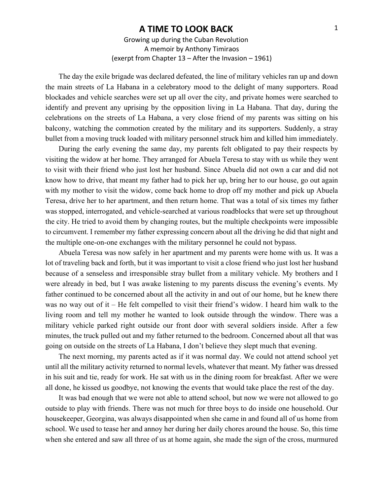## **A TIME TO LOOK BACK**

Growing up during the Cuban Revolution A memoir by Anthony Timiraos (exerpt from Chapter 13 – After the Invasion – 1961)

The day the exile brigade was declared defeated, the line of military vehicles ran up and down the main streets of La Habana in a celebratory mood to the delight of many supporters. Road blockades and vehicle searches were set up all over the city, and private homes were searched to identify and prevent any uprising by the opposition living in La Habana. That day, during the celebrations on the streets of La Habana, a very close friend of my parents was sitting on his balcony, watching the commotion created by the military and its supporters. Suddenly, a stray bullet from a moving truck loaded with military personnel struck him and killed him immediately.

During the early evening the same day, my parents felt obligated to pay their respects by visiting the widow at her home. They arranged for Abuela Teresa to stay with us while they went to visit with their friend who just lost her husband. Since Abuela did not own a car and did not know how to drive, that meant my father had to pick her up, bring her to our house, go out again with my mother to visit the widow, come back home to drop off my mother and pick up Abuela Teresa, drive her to her apartment, and then return home. That was a total of six times my father was stopped, interrogated, and vehicle-searched at various roadblocks that were set up throughout the city. He tried to avoid them by changing routes, but the multiple checkpoints were impossible to circumvent. I remember my father expressing concern about all the driving he did that night and the multiple one-on-one exchanges with the military personnel he could not bypass.

Abuela Teresa was now safely in her apartment and my parents were home with us. It was a lot of traveling back and forth, but it was important to visit a close friend who just lost her husband because of a senseless and irresponsible stray bullet from a military vehicle. My brothers and I were already in bed, but I was awake listening to my parents discuss the evening's events. My father continued to be concerned about all the activity in and out of our home, but he knew there was no way out of it – He felt compelled to visit their friend's widow. I heard him walk to the living room and tell my mother he wanted to look outside through the window. There was a military vehicle parked right outside our front door with several soldiers inside. After a few minutes, the truck pulled out and my father returned to the bedroom. Concerned about all that was going on outside on the streets of La Habana, I don't believe they slept much that evening.

The next morning, my parents acted as if it was normal day. We could not attend school yet until all the military activity returned to normal levels, whatever that meant. My father was dressed in his suit and tie, ready for work. He sat with us in the dining room for breakfast. After we were all done, he kissed us goodbye, not knowing the events that would take place the rest of the day.

It was bad enough that we were not able to attend school, but now we were not allowed to go outside to play with friends. There was not much for three boys to do inside one household. Our housekeeper, Georgina, was always disappointed when she came in and found all of us home from school. We used to tease her and annoy her during her daily chores around the house. So, this time when she entered and saw all three of us at home again, she made the sign of the cross, murmured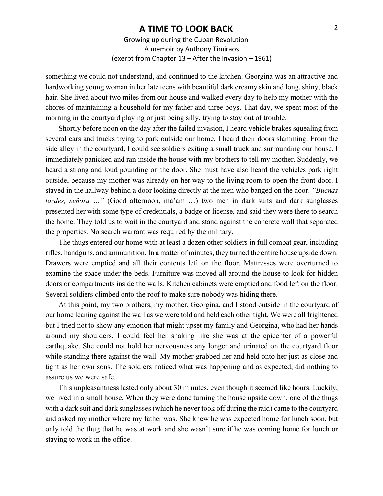## **A TIME TO LOOK BACK**

Growing up during the Cuban Revolution A memoir by Anthony Timiraos (exerpt from Chapter 13 – After the Invasion – 1961)

something we could not understand, and continued to the kitchen. Georgina was an attractive and hardworking young woman in her late teens with beautiful dark creamy skin and long, shiny, black hair. She lived about two miles from our house and walked every day to help my mother with the chores of maintaining a household for my father and three boys. That day, we spent most of the morning in the courtyard playing or just being silly, trying to stay out of trouble.

Shortly before noon on the day after the failed invasion, I heard vehicle brakes squealing from several cars and trucks trying to park outside our home. I heard their doors slamming. From the side alley in the courtyard, I could see soldiers exiting a small truck and surrounding our house. I immediately panicked and ran inside the house with my brothers to tell my mother. Suddenly, we heard a strong and loud pounding on the door. She must have also heard the vehicles park right outside, because my mother was already on her way to the living room to open the front door. I stayed in the hallway behind a door looking directly at the men who banged on the door. *"Buenas tardes, señora …"* (Good afternoon, ma'am …) two men in dark suits and dark sunglasses presented her with some type of credentials, a badge or license, and said they were there to search the home. They told us to wait in the courtyard and stand against the concrete wall that separated the properties. No search warrant was required by the military.

The thugs entered our home with at least a dozen other soldiers in full combat gear, including rifles, handguns, and ammunition. In a matter of minutes, they turned the entire house upside down. Drawers were emptied and all their contents left on the floor. Mattresses were overturned to examine the space under the beds. Furniture was moved all around the house to look for hidden doors or compartments inside the walls. Kitchen cabinets were emptied and food left on the floor. Several soldiers climbed onto the roof to make sure nobody was hiding there.

At this point, my two brothers, my mother, Georgina, and I stood outside in the courtyard of our home leaning against the wall as we were told and held each other tight. We were all frightened but I tried not to show any emotion that might upset my family and Georgina, who had her hands around my shoulders. I could feel her shaking like she was at the epicenter of a powerful earthquake. She could not hold her nervousness any longer and urinated on the courtyard floor while standing there against the wall. My mother grabbed her and held onto her just as close and tight as her own sons. The soldiers noticed what was happening and as expected, did nothing to assure us we were safe.

This unpleasantness lasted only about 30 minutes, even though it seemed like hours. Luckily, we lived in a small house. When they were done turning the house upside down, one of the thugs with a dark suit and dark sunglasses (which he never took off during the raid) came to the courtyard and asked my mother where my father was. She knew he was expected home for lunch soon, but only told the thug that he was at work and she wasn't sure if he was coming home for lunch or staying to work in the office.